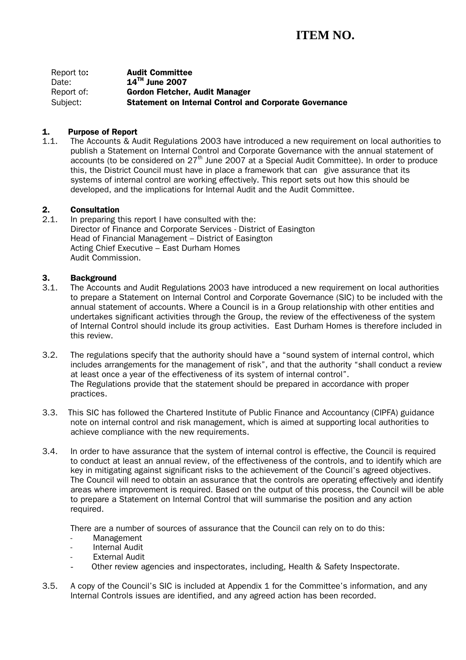Report to: Audit Committee Date: **14TH** June 2007 Report of: Gordon Fletcher, Audit Manager Subject: Statement on Internal Control and Corporate Governance

#### 1. Purpose of Report

1.1. The Accounts & Audit Regulations 2003 have introduced a new requirement on local authorities to publish a Statement on Internal Control and Corporate Governance with the annual statement of accounts (to be considered on  $27<sup>th</sup>$  June 2007 at a Special Audit Committee). In order to produce this, the District Council must have in place a framework that can give assurance that its systems of internal control are working effectively. This report sets out how this should be developed, and the implications for Internal Audit and the Audit Committee.

# **2. Consultation**<br>2.1. In preparing t

In preparing this report I have consulted with the: Director of Finance and Corporate Services - District of Easington Head of Financial Management – District of Easington Acting Chief Executive – East Durham Homes Audit Commission.

#### 3. Background

- 3.1. The Accounts and Audit Regulations 2003 have introduced a new requirement on local authorities to prepare a Statement on Internal Control and Corporate Governance (SIC) to be included with the annual statement of accounts. Where a Council is in a Group relationship with other entities and undertakes significant activities through the Group, the review of the effectiveness of the system of Internal Control should include its group activities. East Durham Homes is therefore included in this review.
- 3.2. The regulations specify that the authority should have a "sound system of internal control, which includes arrangements for the management of risk", and that the authority "shall conduct a review at least once a year of the effectiveness of its system of internal control". The Regulations provide that the statement should be prepared in accordance with proper practices.
- 3.3. This SIC has followed the Chartered Institute of Public Finance and Accountancy (CIPFA) guidance note on internal control and risk management, which is aimed at supporting local authorities to achieve compliance with the new requirements.
- 3.4. In order to have assurance that the system of internal control is effective, the Council is required to conduct at least an annual review, of the effectiveness of the controls, and to identify which are key in mitigating against significant risks to the achievement of the Council's agreed objectives. The Council will need to obtain an assurance that the controls are operating effectively and identify areas where improvement is required. Based on the output of this process, the Council will be able to prepare a Statement on Internal Control that will summarise the position and any action required.

There are a number of sources of assurance that the Council can rely on to do this:

- Management
- Internal Audit
- **External Audit**
- Other review agencies and inspectorates, including, Health & Safety Inspectorate.
- 3.5. A copy of the Council's SIC is included at Appendix 1 for the Committee's information, and any Internal Controls issues are identified, and any agreed action has been recorded.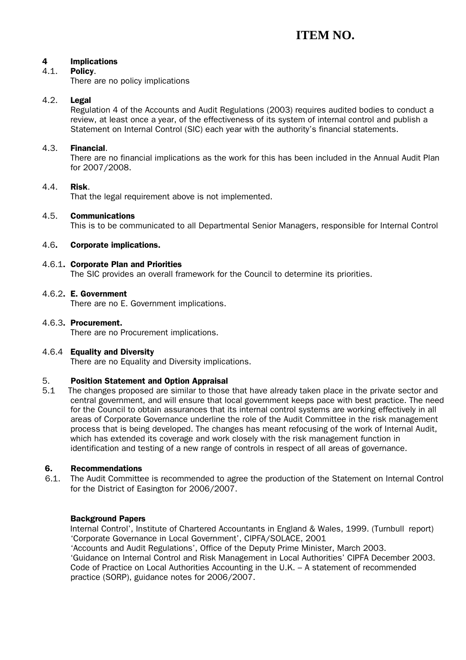#### 4 Implications

#### 4.1. Policy.

There are no policy implications

#### 4.2. Legal

Regulation 4 of the Accounts and Audit Regulations (2003) requires audited bodies to conduct a review, at least once a year, of the effectiveness of its system of internal control and publish a Statement on Internal Control (SIC) each year with the authority's financial statements.

#### 4.3. Financial.

There are no financial implications as the work for this has been included in the Annual Audit Plan for 2007/2008.

#### 4.4. Risk.

That the legal requirement above is not implemented.

#### 4.5. Communications

This is to be communicated to all Departmental Senior Managers, responsible for Internal Control

#### 4.6. Corporate implications.

#### 4.6.1. Corporate Plan and Priorities

The SIC provides an overall framework for the Council to determine its priorities.

#### 4.6.2. E. Government

There are no E. Government implications.

#### 4.6.3. Procurement.

There are no Procurement implications.

#### 4.6.4 Equality and Diversity

There are no Equality and Diversity implications.

#### 5. Position Statement and Option Appraisal

5.1 The changes proposed are similar to those that have already taken place in the private sector and central government, and will ensure that local government keeps pace with best practice. The need for the Council to obtain assurances that its internal control systems are working effectively in all areas of Corporate Governance underline the role of the Audit Committee in the risk management process that is being developed. The changes has meant refocusing of the work of Internal Audit, which has extended its coverage and work closely with the risk management function in identification and testing of a new range of controls in respect of all areas of governance.

#### 6. Recommendations

6.1. The Audit Committee is recommended to agree the production of the Statement on Internal Control for the District of Easington for 2006/2007.

#### Background Papers

 Internal Control', Institute of Chartered Accountants in England & Wales, 1999. (Turnbull report) 'Corporate Governance in Local Government', CIPFA/SOLACE, 2001

 'Accounts and Audit Regulations', Office of the Deputy Prime Minister, March 2003. 'Guidance on Internal Control and Risk Management in Local Authorities' CIPFA December 2003. Code of Practice on Local Authorities Accounting in the U.K. – A statement of recommended practice (SORP), guidance notes for 2006/2007.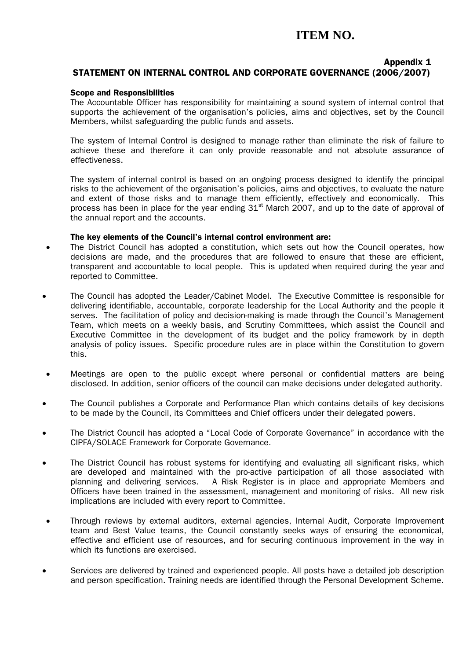### Appendix 1

### STATEMENT ON INTERNAL CONTROL AND CORPORATE GOVERNANCE (2006/2007)

### Scope and Responsibilities

The Accountable Officer has responsibility for maintaining a sound system of internal control that supports the achievement of the organisation's policies, aims and objectives, set by the Council Members, whilst safeguarding the public funds and assets.

The system of Internal Control is designed to manage rather than eliminate the risk of failure to achieve these and therefore it can only provide reasonable and not absolute assurance of effectiveness.

The system of internal control is based on an ongoing process designed to identify the principal risks to the achievement of the organisation's policies, aims and objectives, to evaluate the nature and extent of those risks and to manage them efficiently, effectively and economically. This process has been in place for the year ending  $31<sup>st</sup>$  March 2007, and up to the date of approval of the annual report and the accounts.

#### The key elements of the Council's internal control environment are:

- The District Council has adopted a constitution, which sets out how the Council operates, how decisions are made, and the procedures that are followed to ensure that these are efficient, transparent and accountable to local people. This is updated when required during the year and reported to Committee.
- The Council has adopted the Leader/Cabinet Model. The Executive Committee is responsible for delivering identifiable, accountable, corporate leadership for the Local Authority and the people it serves. The facilitation of policy and decision-making is made through the Council's Management Team, which meets on a weekly basis, and Scrutiny Committees, which assist the Council and Executive Committee in the development of its budget and the policy framework by in depth analysis of policy issues. Specific procedure rules are in place within the Constitution to govern this.
- Meetings are open to the public except where personal or confidential matters are being disclosed. In addition, senior officers of the council can make decisions under delegated authority.
- The Council publishes a Corporate and Performance Plan which contains details of key decisions to be made by the Council, its Committees and Chief officers under their delegated powers.
- The District Council has adopted a "Local Code of Corporate Governance" in accordance with the CIPFA/SOLACE Framework for Corporate Governance.
- The District Council has robust systems for identifying and evaluating all significant risks, which are developed and maintained with the pro-active participation of all those associated with planning and delivering services. A Risk Register is in place and appropriate Members and Officers have been trained in the assessment, management and monitoring of risks. All new risk implications are included with every report to Committee.
- Through reviews by external auditors, external agencies, Internal Audit, Corporate Improvement team and Best Value teams, the Council constantly seeks ways of ensuring the economical, effective and efficient use of resources, and for securing continuous improvement in the way in which its functions are exercised.
- Services are delivered by trained and experienced people. All posts have a detailed job description and person specification. Training needs are identified through the Personal Development Scheme.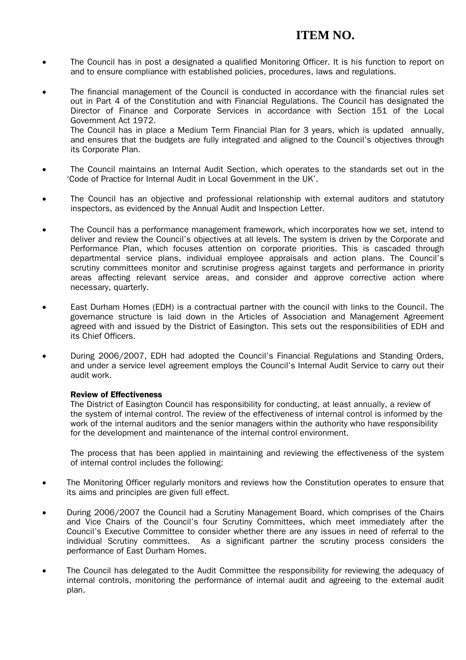- The Council has in post a designated a qualified Monitoring Officer. It is his function to report on and to ensure compliance with established policies, procedures, laws and regulations.
- The financial management of the Council is conducted in accordance with the financial rules set out in Part 4 of the Constitution and with Financial Regulations. The Council has designated the Director of Finance and Corporate Services in accordance with Section 151 of the Local Government Act 1972. The Council has in place a Medium Term Financial Plan for 3 years, which is updated annually, and ensures that the budgets are fully integrated and aligned to the Council's objectives through its Corporate Plan.
- The Council maintains an Internal Audit Section, which operates to the standards set out in the 'Code of Practice for Internal Audit in Local Government in the UK'.
- The Council has an objective and professional relationship with external auditors and statutory inspectors, as evidenced by the Annual Audit and Inspection Letter.
- The Council has a performance management framework, which incorporates how we set, intend to deliver and review the Council's objectives at all levels. The system is driven by the Corporate and Performance Plan, which focuses attention on corporate priorities. This is cascaded through departmental service plans, individual employee appraisals and action plans. The Council's scrutiny committees monitor and scrutinise progress against targets and performance in priority areas affecting relevant service areas, and consider and approve corrective action where necessary, quarterly.
- East Durham Homes (EDH) is a contractual partner with the council with links to the Council. The governance structure is laid down in the Articles of Association and Management Agreement agreed with and issued by the District of Easington. This sets out the responsibilities of EDH and its Chief Officers.
- During 2006/2007, EDH had adopted the Council's Financial Regulations and Standing Orders, and under a service level agreement employs the Council's Internal Audit Service to carry out their audit work.

#### Review of Effectiveness

The District of Easington Council has responsibility for conducting, at least annually, a review of the system of internal control. The review of the effectiveness of internal control is informed by the work of the internal auditors and the senior managers within the authority who have responsibility for the development and maintenance of the internal control environment.

The process that has been applied in maintaining and reviewing the effectiveness of the system of internal control includes the following:

- The Monitoring Officer regularly monitors and reviews how the Constitution operates to ensure that its aims and principles are given full effect.
- During 2006/2007 the Council had a Scrutiny Management Board, which comprises of the Chairs and Vice Chairs of the Council's four Scrutiny Committees, which meet immediately after the Council's Executive Committee to consider whether there are any issues in need of referral to the individual Scrutiny committees. As a significant partner the scrutiny process considers the performance of East Durham Homes.
- The Council has delegated to the Audit Committee the responsibility for reviewing the adequacy of internal controls, monitoring the performance of internal audit and agreeing to the external audit plan.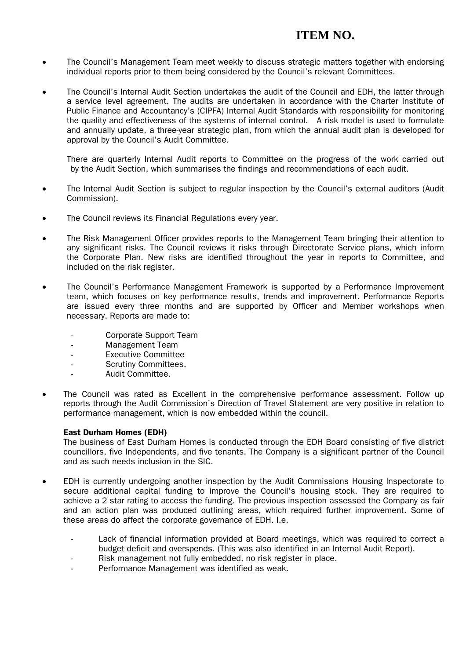- The Council's Management Team meet weekly to discuss strategic matters together with endorsing individual reports prior to them being considered by the Council's relevant Committees.
- The Council's Internal Audit Section undertakes the audit of the Council and EDH, the latter through a service level agreement. The audits are undertaken in accordance with the Charter Institute of Public Finance and Accountancy's (CIPFA) Internal Audit Standards with responsibility for monitoring the quality and effectiveness of the systems of internal control. A risk model is used to formulate and annually update, a three-year strategic plan, from which the annual audit plan is developed for approval by the Council's Audit Committee.

There are quarterly Internal Audit reports to Committee on the progress of the work carried out by the Audit Section, which summarises the findings and recommendations of each audit.

- The Internal Audit Section is subject to regular inspection by the Council's external auditors (Audit Commission).
- The Council reviews its Financial Regulations every year.
- The Risk Management Officer provides reports to the Management Team bringing their attention to any significant risks. The Council reviews it risks through Directorate Service plans, which inform the Corporate Plan. New risks are identified throughout the year in reports to Committee, and included on the risk register.
- The Council's Performance Management Framework is supported by a Performance Improvement team, which focuses on key performance results, trends and improvement. Performance Reports are issued every three months and are supported by Officer and Member workshops when necessary. Reports are made to:
	- Corporate Support Team
	- Management Team
	- Executive Committee
	- Scrutiny Committees.
	- Audit Committee.
- The Council was rated as Excellent in the comprehensive performance assessment. Follow up reports through the Audit Commission's Direction of Travel Statement are very positive in relation to performance management, which is now embedded within the council.

#### East Durham Homes (EDH)

 The business of East Durham Homes is conducted through the EDH Board consisting of five district councillors, five Independents, and five tenants. The Company is a significant partner of the Council and as such needs inclusion in the SIC.

- EDH is currently undergoing another inspection by the Audit Commissions Housing Inspectorate to secure additional capital funding to improve the Council's housing stock. They are required to achieve a 2 star rating to access the funding. The previous inspection assessed the Company as fair and an action plan was produced outlining areas, which required further improvement. Some of these areas do affect the corporate governance of EDH. I.e.
	- Lack of financial information provided at Board meetings, which was required to correct a budget deficit and overspends. (This was also identified in an Internal Audit Report).
	- Risk management not fully embedded, no risk register in place.
	- Performance Management was identified as weak.